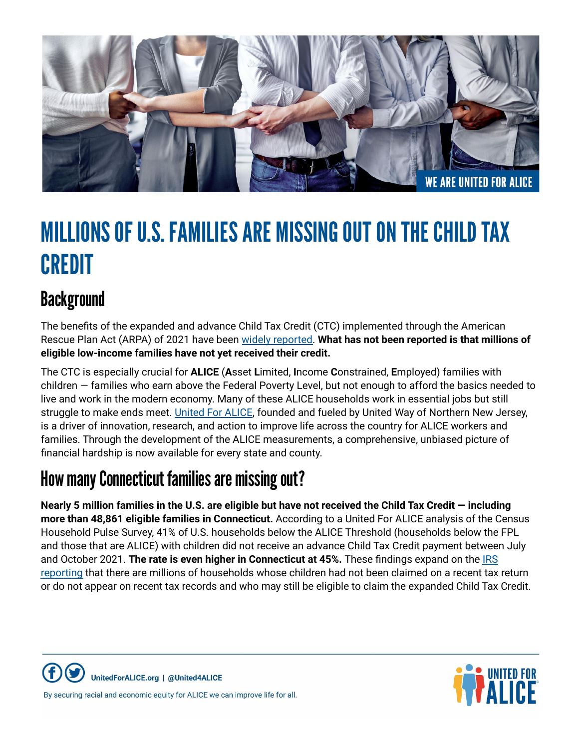

# MILLIONS OF U.S. FAMILIES ARE MISSING OUT ON THE CHILD TAX **CREDIT**

## **Background**

The benefits of the expanded and advance Child Tax Credit (CTC) implemented through the American Rescue Plan Act (ARPA) of 2021 have been widely [reported.](https://www.npr.org/2022/01/27/1075299510/the-expanded-child-tax-credit-briefly-slashed-child-poverty-heres-what-else-it-d) **What has not been reported is that millions of eligible low-income families have not yet received their credit.**

The CTC is especially crucial for **ALICE** (**A**sset **L**imited, **I**ncome **C**onstrained, **E**mployed) families with children — families who earn above the Federal Poverty Level, but not enough to afford the basics needed to live and work in the modern economy. Many of these ALICE households work in essential jobs but still struggle to make ends meet. [United](https://www.unitedforalice.org/national-overview) For ALICE, founded and fueled by United Way of Northern New Jersey, is a driver of innovation, research, and action to improve life across the country for ALICE workers and families. Through the development of the ALICE measurements, a comprehensive, unbiased picture of financial hardship is now available for every state and county.

### How many Connecticut families are missing out?

Nearly 5 million families in the U.S. are eligible but have not received the Child Tax Credit – including **more than 48,861 eligible families in Connecticut.** According to a United For ALICE analysis of the Census Household Pulse Survey, 41% of U.S. households below the ALICE Threshold (households below the FPL and those that are ALICE) with children did not receive an advance Child Tax Credit payment between July and October 2021. **The rate is even higher in Connecticut at 45%.** These findings expand on the [IRS](https://home.treasury.gov/policy-issues/tax-policy/office-of-tax-analysis) [reporting](https://home.treasury.gov/policy-issues/tax-policy/office-of-tax-analysis) that there are millions of households whose children had not been claimed on a recent tax return or do not appear on recent tax records and who may still be eligible to claim the expanded Child Tax Credit.





By securing racial and economic equity for ALICE we can improve life for all.